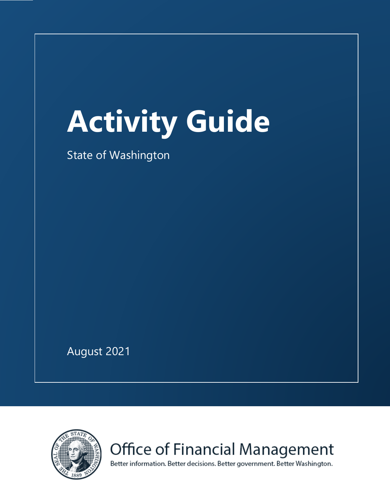# **Activity Guide**

State of Washington

August 2021



Office of Financial Management

Better information. Better decisions. Better government. Better Washington.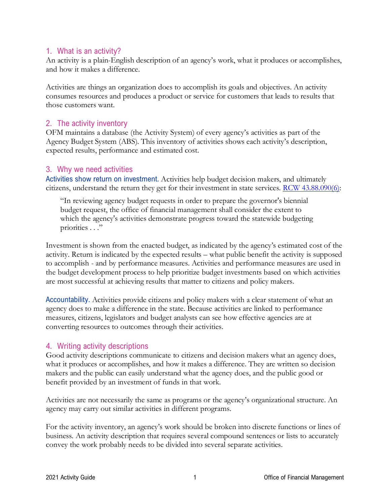#### 1. What is an activity?

An activity is a plain-English description of an agency's work, what it produces or accomplishes, and how it makes a difference.

Activities are things an organization does to accomplish its goals and objectives. An activity consumes resources and produces a product or service for customers that leads to results that those customers want.

#### 2. The activity inventory

OFM maintains a database (the Activity System) of every agency's activities as part of the Agency Budget System (ABS). This inventory of activities shows each activity's description, expected results, performance and estimated cost.

#### 3. Why we need activities

Activities show return on investment. Activities help budget decision makers, and ultimately citizens, understand the return they get for their investment in state services. [RCW 43.88.090\(6\):](http://apps.leg.wa.gov/RCW/default.aspx?cite=43.88.090)

"In reviewing agency budget requests in order to prepare the governor's biennial budget request, the office of financial management shall consider the extent to which the agency's activities demonstrate progress toward the statewide budgeting priorities . . ."

Investment is shown from the enacted budget, as indicated by the agency's estimated cost of the activity. Return is indicated by the expected results – what public benefit the activity is supposed to accomplish - and by performance measures. Activities and performance measures are used in the budget development process to help prioritize budget investments based on which activities are most successful at achieving results that matter to citizens and policy makers.

Accountability. Activities provide citizens and policy makers with a clear statement of what an agency does to make a difference in the state. Because activities are linked to performance measures, citizens, legislators and budget analysts can see how effective agencies are at converting resources to outcomes through their activities.

## 4. Writing activity descriptions

Good activity descriptions communicate to citizens and decision makers what an agency does, what it produces or accomplishes, and how it makes a difference. They are written so decision makers and the public can easily understand what the agency does, and the public good or benefit provided by an investment of funds in that work.

Activities are not necessarily the same as programs or the agency's organizational structure. An agency may carry out similar activities in different programs.

For the activity inventory, an agency's work should be broken into discrete functions or lines of business. An activity description that requires several compound sentences or lists to accurately convey the work probably needs to be divided into several separate activities.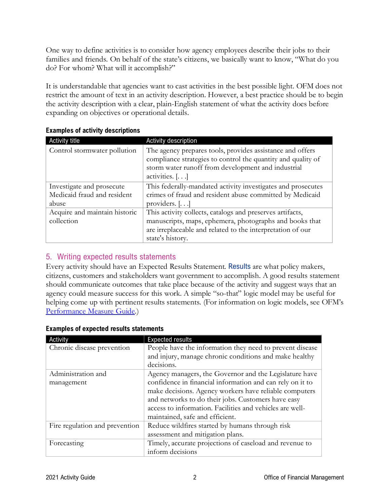One way to define activities is to consider how agency employees describe their jobs to their families and friends. On behalf of the state's citizens, we basically want to know, "What do you do? For whom? What will it accomplish?"

It is understandable that agencies want to cast activities in the best possible light. OFM does not restrict the amount of text in an activity description. However, a best practice should be to begin the activity description with a clear, plain-English statement of what the activity does before expanding on objectives or operational details.

| Activity title                | Activity description                                                                                                                                                                                |
|-------------------------------|-----------------------------------------------------------------------------------------------------------------------------------------------------------------------------------------------------|
| Control stormwater pollution  | The agency prepares tools, provides assistance and offers<br>compliance strategies to control the quantity and quality of<br>storm water runoff from development and industrial<br>activities. $[]$ |
| Investigate and prosecute     | This federally-mandated activity investigates and prosecutes                                                                                                                                        |
| Medicaid fraud and resident   | crimes of fraud and resident abuse committed by Medicaid                                                                                                                                            |
| abuse                         | providers. $[]$                                                                                                                                                                                     |
| Acquire and maintain historic | This activity collects, catalogs and preserves artifacts,                                                                                                                                           |
| collection                    | manuscripts, maps, ephemera, photographs and books that                                                                                                                                             |
|                               | are irreplaceable and related to the interpretation of our                                                                                                                                          |
|                               | state's history.                                                                                                                                                                                    |

#### **Examples of activity descriptions**

# 5. Writing expected results statements

Every activity should have an Expected Results Statement. Results are what policy makers, citizens, customers and stakeholders want government to accomplish. A good results statement should communicate outcomes that take place because of the activity and suggest ways that an agency could measure success for this work. A simple "so-that" logic model may be useful for helping come up with pertinent results statements. (For information on logic models, see OFM's [Performance Measure Guide.](http://www.ofm.wa.gov/budget/instructions/other/performancemeasureguide.pdf))

| Activity                       | <b>Expected results</b>                                   |  |  |  |  |
|--------------------------------|-----------------------------------------------------------|--|--|--|--|
| Chronic disease prevention     | People have the information they need to prevent disease  |  |  |  |  |
|                                | and injury, manage chronic conditions and make healthy    |  |  |  |  |
|                                | decisions.                                                |  |  |  |  |
| Administration and             | Agency managers, the Governor and the Legislature have    |  |  |  |  |
| management                     | confidence in financial information and can rely on it to |  |  |  |  |
|                                | make decisions. Agency workers have reliable computers    |  |  |  |  |
|                                | and networks to do their jobs. Customers have easy        |  |  |  |  |
|                                | access to information. Facilities and vehicles are well-  |  |  |  |  |
|                                | maintained, safe and efficient.                           |  |  |  |  |
| Fire regulation and prevention | Reduce wildfires started by humans through risk           |  |  |  |  |
|                                | assessment and mitigation plans.                          |  |  |  |  |
| Forecasting                    | Timely, accurate projections of caseload and revenue to   |  |  |  |  |
|                                | inform decisions                                          |  |  |  |  |

#### **Examples of expected results statements**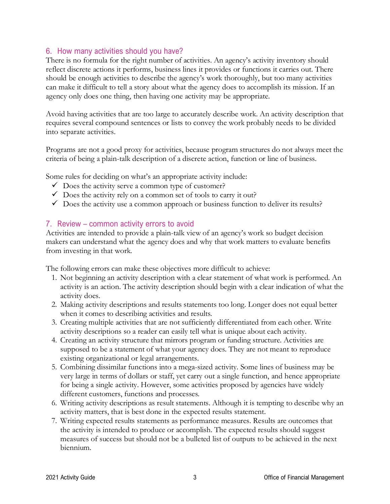## 6. How many activities should you have?

There is no formula for the right number of activities. An agency's activity inventory should reflect discrete actions it performs, business lines it provides or functions it carries out. There should be enough activities to describe the agency's work thoroughly, but too many activities can make it difficult to tell a story about what the agency does to accomplish its mission. If an agency only does one thing, then having one activity may be appropriate.

Avoid having activities that are too large to accurately describe work. An activity description that requires several compound sentences or lists to convey the work probably needs to be divided into separate activities.

Programs are not a good proxy for activities, because program structures do not always meet the criteria of being a plain-talk description of a discrete action, function or line of business.

Some rules for deciding on what's an appropriate activity include:

- $\checkmark$  Does the activity serve a common type of customer?
- $\checkmark$  Does the activity rely on a common set of tools to carry it out?
- $\checkmark$  Does the activity use a common approach or business function to deliver its results?

#### 7. Review – common activity errors to avoid

Activities are intended to provide a plain-talk view of an agency's work so budget decision makers can understand what the agency does and why that work matters to evaluate benefits from investing in that work.

The following errors can make these objectives more difficult to achieve:

- 1. Not beginning an activity description with a clear statement of what work is performed. An activity is an action. The activity description should begin with a clear indication of what the activity does.
- 2. Making activity descriptions and results statements too long. Longer does not equal better when it comes to describing activities and results.
- 3. Creating multiple activities that are not sufficiently differentiated from each other. Write activity descriptions so a reader can easily tell what is unique about each activity.
- 4. Creating an activity structure that mirrors program or funding structure. Activities are supposed to be a statement of what your agency does. They are not meant to reproduce existing organizational or legal arrangements.
- 5. Combining dissimilar functions into a mega-sized activity. Some lines of business may be very large in terms of dollars or staff, yet carry out a single function, and hence appropriate for being a single activity. However, some activities proposed by agencies have widely different customers, functions and processes.
- 6. Writing activity descriptions as result statements. Although it is tempting to describe why an activity matters, that is best done in the expected results statement.
- 7. Writing expected results statements as performance measures. Results are outcomes that the activity is intended to produce or accomplish. The expected results should suggest measures of success but should not be a bulleted list of outputs to be achieved in the next biennium.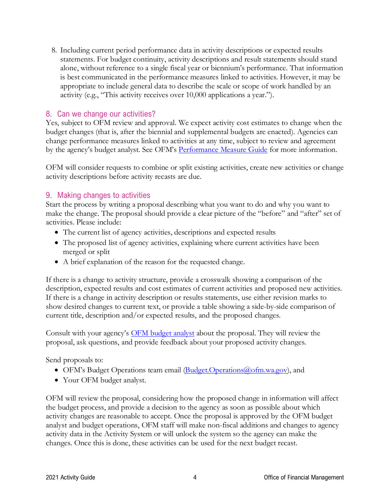8. Including current period performance data in activity descriptions or expected results statements. For budget continuity, activity descriptions and result statements should stand alone, without reference to a single fiscal year or biennium's performance. That information is best communicated in the performance measures linked to activities. However, it may be appropriate to include general data to describe the scale or scope of work handled by an activity (e.g., "This activity receives over 10,000 applications a year.").

#### 8. Can we change our activities?

Yes, subject to OFM review and approval. We expect activity cost estimates to change when the budget changes (that is, after the biennial and supplemental budgets are enacted). Agencies can change performance measures linked to activities at any time, subject to review and agreement by the agency's budget analyst. See OFM's **Performance Measure Guide** for more information.

OFM will consider requests to combine or split existing activities, create new activities or change activity descriptions before activity recasts are due.

#### 9. Making changes to activities

Start the process by writing a proposal describing what you want to do and why you want to make the change. The proposal should provide a clear picture of the "before" and "after" set of activities. Please include:

- The current list of agency activities, descriptions and expected results
- The proposed list of agency activities, explaining where current activities have been merged or split
- A brief explanation of the reason for the requested change.

If there is a change to activity structure, provide a crosswalk showing a comparison of the description, expected results and cost estimates of current activities and proposed new activities. If there is a change in activity description or results statements, use either revision marks to show desired changes to current text, or provide a table showing a side-by-side comparison of current title, description and/or expected results, and the proposed changes.

Consult with your agency's [OFM budget analyst](http://www.ofm.wa.gov/budget/contacts/default.asp) about the proposal. They will review the proposal, ask questions, and provide feedback about your proposed activity changes.

Send proposals to:

- OFM's Budget Operations team email (Budget.Operations @ofm.wa.gov), and
- Your OFM budget analyst.

OFM will review the proposal, considering how the proposed change in information will affect the budget process, and provide a decision to the agency as soon as possible about which activity changes are reasonable to accept. Once the proposal is approved by the OFM budget analyst and budget operations, OFM staff will make non-fiscal additions and changes to agency activity data in the Activity System or will unlock the system so the agency can make the changes. Once this is done, these activities can be used for the next budget recast.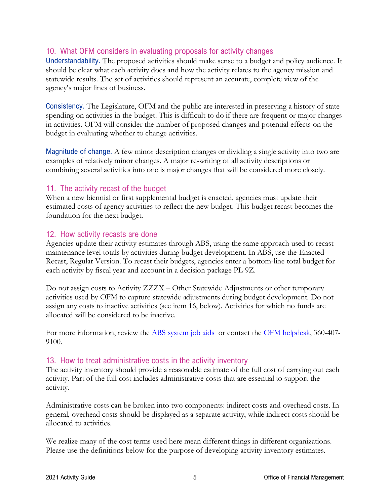# 10. What OFM considers in evaluating proposals for activity changes

Understandability. The proposed activities should make sense to a budget and policy audience. It should be clear what each activity does and how the activity relates to the agency mission and statewide results. The set of activities should represent an accurate, complete view of the agency's major lines of business.

Consistency. The Legislature, OFM and the public are interested in preserving a history of state spending on activities in the budget. This is difficult to do if there are frequent or major changes in activities. OFM will consider the number of proposed changes and potential effects on the budget in evaluating whether to change activities.

Magnitude of change. A few minor description changes or dividing a single activity into two are examples of relatively minor changes. A major re-writing of all activity descriptions or combining several activities into one is major changes that will be considered more closely.

#### 11. The activity recast of the budget

When a new biennial or first supplemental budget is enacted, agencies must update their estimated costs of agency activities to reflect the new budget. This budget recast becomes the foundation for the next budget.

#### 12. How activity recasts are done

Agencies update their activity estimates through ABS, using the same approach used to recast maintenance level totals by activities during budget development. In ABS, use the Enacted Recast, Regular Version. To recast their budgets, agencies enter a bottom-line total budget for each activity by fiscal year and account in a decision package PL-9Z.

Do not assign costs to Activity ZZZX – Other Statewide Adjustments or other temporary activities used by OFM to capture statewide adjustments during budget development. Do not assign any costs to inactive activities (see item 16, below). Activities for which no funds are allocated will be considered to be inactive.

For more information, review the [ABS system job aids](https://ofm.wa.gov/it-systems/budget-and-legislative-systems/agency-budget-system-abs) or contact the [OFM helpdesk,](mailto:heretohelp@ofm.wa.gov) 360-407-9100.

## 13. How to treat administrative costs in the activity inventory

The activity inventory should provide a reasonable estimate of the full cost of carrying out each activity. Part of the full cost includes administrative costs that are essential to support the activity.

Administrative costs can be broken into two components: indirect costs and overhead costs. In general, overhead costs should be displayed as a separate activity, while indirect costs should be allocated to activities.

We realize many of the cost terms used here mean different things in different organizations. Please use the definitions below for the purpose of developing activity inventory estimates.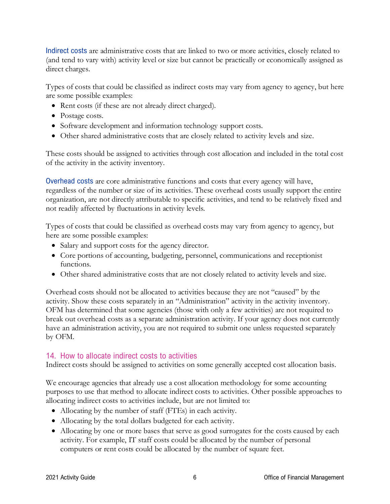Indirect costs are administrative costs that are linked to two or more activities, closely related to (and tend to vary with) activity level or size but cannot be practically or economically assigned as direct charges.

Types of costs that could be classified as indirect costs may vary from agency to agency, but here are some possible examples:

- Rent costs (if these are not already direct charged).
- Postage costs.
- Software development and information technology support costs.
- Other shared administrative costs that are closely related to activity levels and size.

These costs should be assigned to activities through cost allocation and included in the total cost of the activity in the activity inventory.

Overhead costs are core administrative functions and costs that every agency will have, regardless of the number or size of its activities. These overhead costs usually support the entire organization, are not directly attributable to specific activities, and tend to be relatively fixed and not readily affected by fluctuations in activity levels.

Types of costs that could be classified as overhead costs may vary from agency to agency, but here are some possible examples:

- Salary and support costs for the agency director.
- Core portions of accounting, budgeting, personnel, communications and receptionist functions.
- Other shared administrative costs that are not closely related to activity levels and size.

Overhead costs should not be allocated to activities because they are not "caused" by the activity. Show these costs separately in an "Administration" activity in the activity inventory. OFM has determined that some agencies (those with only a few activities) are not required to break out overhead costs as a separate administration activity. If your agency does not currently have an administration activity, you are not required to submit one unless requested separately by OFM.

## 14. How to allocate indirect costs to activities

Indirect costs should be assigned to activities on some generally accepted cost allocation basis.

We encourage agencies that already use a cost allocation methodology for some accounting purposes to use that method to allocate indirect costs to activities. Other possible approaches to allocating indirect costs to activities include, but are not limited to:

- Allocating by the number of staff (FTEs) in each activity.
- Allocating by the total dollars budgeted for each activity.
- Allocating by one or more bases that serve as good surrogates for the costs caused by each activity. For example, IT staff costs could be allocated by the number of personal computers or rent costs could be allocated by the number of square feet.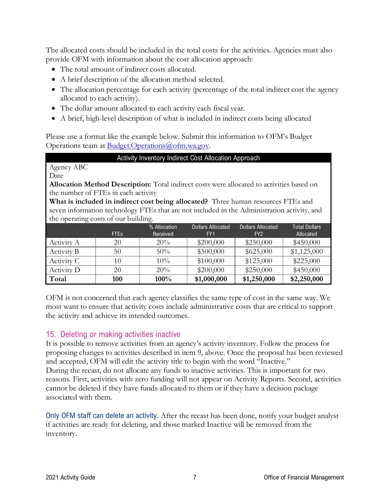The allocated costs should be included in the total costs for the activities. Agencies must also provide OFM with information about the cost allocation approach:

- The total amount of indirect costs allocated.
- A brief description of the allocation method selected.
- The allocation percentage for each activity (percentage of the total indirect cost the agency allocated to each activity).
- The dollar amount allocated to each activity each fiscal year.
- A brief, high-level description of what is included in indirect costs being allocated

Please use a format like the example below. Submit this information to OFM's Budget Operations team at **Budget.Operations@ofm.wa.gov.** 

Activity Inventory Indirect Cost Allocation Approach

Agency ABC

Date

**Allocation Method Description:** Total indirect costs were allocated to activities based on the number of FTEs in each activity

**What is included in indirect cost being allocated?** Three human resources FTEs and seven information technology FTEs that are not included in the Administration activity, and the operating costs of our building.

|            | <b>FTEs</b> | % Allocation<br>Received | <b>Dollars Allocated</b><br>FY <sub>1</sub> | <b>Dollars Allocated</b><br>FY <sub>2</sub> | <b>Total Dollars</b><br>Allocated |
|------------|-------------|--------------------------|---------------------------------------------|---------------------------------------------|-----------------------------------|
| Activity A | 20          | 20%                      | \$200,000                                   | \$250,000                                   | \$450,000                         |
| Activity B | 50          | $50\%$                   | \$500,000                                   | \$625,000                                   | \$1,125,000                       |
| Activity C | 10          | $10\%$                   | \$100,000                                   | \$125,000                                   | \$225,000                         |
| Activity D | 20          | 20%                      | \$200,000                                   | \$250,000                                   | \$450,000                         |
| Total      | <b>100</b>  | $100\%$                  | \$1,000,000                                 | \$1,250,000                                 | \$2,250,000                       |

OFM is not concerned that each agency classifies the same type of cost in the same way. We most want to ensure that activity costs include administrative costs that are critical to support the activity and achieve its intended outcomes.

## 15. Deleting or making activities inactive

It is possible to remove activities from an agency's activity inventory. Follow the process for proposing changes to activities described in item 9, above. Once the proposal has been reviewed and accepted, OFM will edit the activity title to begin with the word "Inactive." During the recast, do not allocate any funds to inactive activities. This is important for two reasons. First, activities with zero funding will not appear on Activity Reports. Second, activities cannot be deleted if they have funds allocated to them or if they have a decision package associated with them.

Only OFM staff can delete an activity. After the recast has been done, notify your budget analyst if activities are ready for deleting, and those marked Inactive will be removed from the inventory.